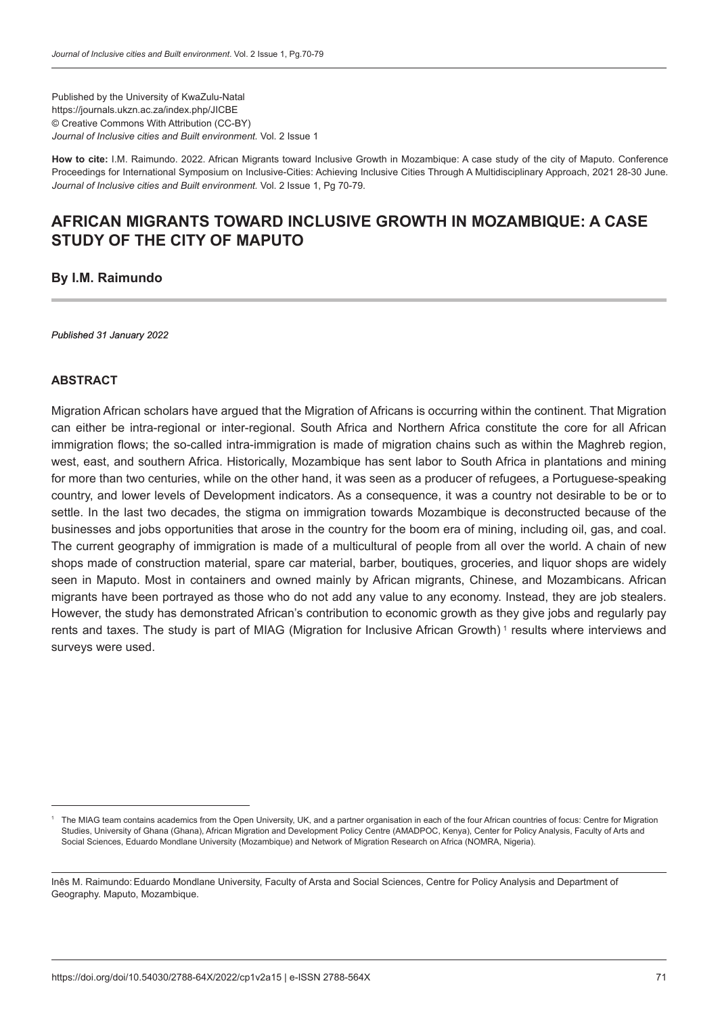Published by the University of KwaZulu-Natal https://journals.ukzn.ac.za/index.php/JICBE © Creative Commons With Attribution (CC-BY) *Journal of Inclusive cities and Built environment.* Vol. 2 Issue 1

**How to cite:** I.M. Raimundo. 2022. African Migrants toward Inclusive Growth in Mozambique: A case study of the city of Maputo. Conference Proceedings for International Symposium on Inclusive-Cities: Achieving Inclusive Cities Through A Multidisciplinary Approach, 2021 28-30 June. *Journal of Inclusive cities and Built environment.* Vol. 2 Issue 1, Pg 70-79.

# **AFRICAN MIGRANTS TOWARD INCLUSIVE GROWTH IN MOZAMBIQUE: A CASE STUDY OF THE CITY OF MAPUTO**

**By I.M. Raimundo**

*Published 31 January 2022*

#### **ABSTRACT**

Migration African scholars have argued that the Migration of Africans is occurring within the continent. That Migration can either be intra-regional or inter-regional. South Africa and Northern Africa constitute the core for all African immigration flows; the so-called intra-immigration is made of migration chains such as within the Maghreb region, west, east, and southern Africa. Historically, Mozambique has sent labor to South Africa in plantations and mining for more than two centuries, while on the other hand, it was seen as a producer of refugees, a Portuguese-speaking country, and lower levels of Development indicators. As a consequence, it was a country not desirable to be or to settle. In the last two decades, the stigma on immigration towards Mozambique is deconstructed because of the businesses and jobs opportunities that arose in the country for the boom era of mining, including oil, gas, and coal. The current geography of immigration is made of a multicultural of people from all over the world. A chain of new shops made of construction material, spare car material, barber, boutiques, groceries, and liquor shops are widely seen in Maputo. Most in containers and owned mainly by African migrants, Chinese, and Mozambicans. African migrants have been portrayed as those who do not add any value to any economy. Instead, they are job stealers. However, the study has demonstrated African's contribution to economic growth as they give jobs and regularly pay rents and taxes. The study is part of MIAG (Migration for Inclusive African Growth)<sup>1</sup> results where interviews and surveys were used.

The MIAG team contains academics from the Open University, UK, and a partner organisation in each of the four African countries of focus: Centre for Migration Studies, University of Ghana (Ghana), African Migration and Development Policy Centre (AMADPOC, Kenya), Center for Policy Analysis, Faculty of Arts and Social Sciences, Eduardo Mondlane University (Mozambique) and Network of Migration Research on Africa (NOMRA, Nigeria).

Inês M. Raimundo:Eduardo Mondlane University, Faculty of Arsta and Social Sciences, Centre for Policy Analysis and Department of Geography. Maputo, Mozambique.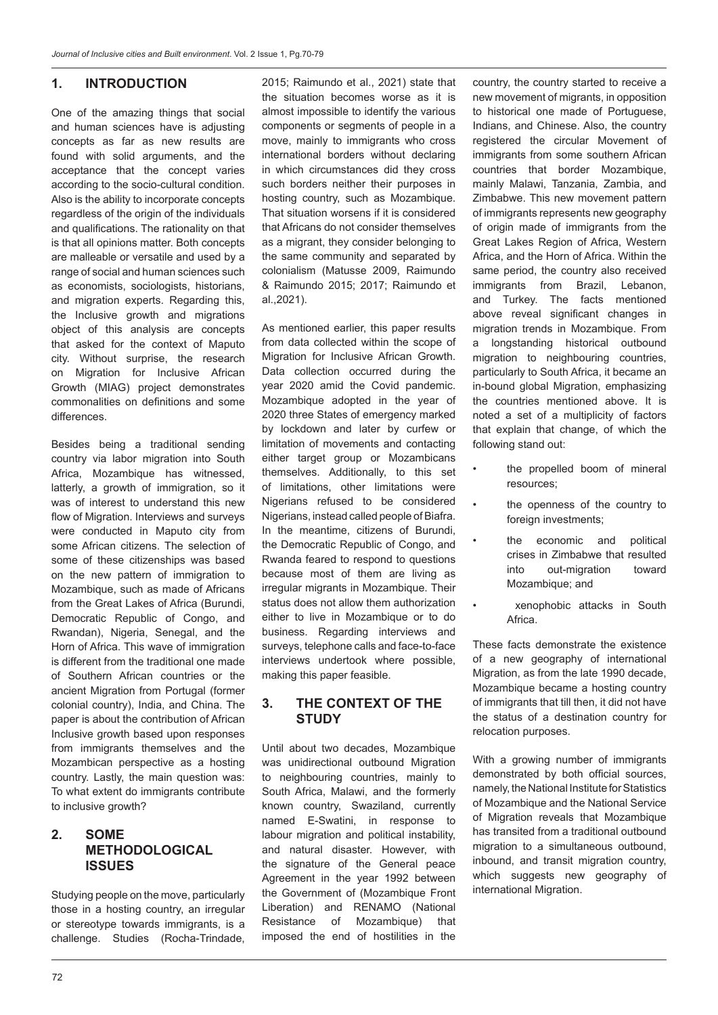#### **1. INTRODUCTION**

One of the amazing things that social and human sciences have is adjusting concepts as far as new results are found with solid arguments, and the acceptance that the concept varies according to the socio-cultural condition. Also is the ability to incorporate concepts regardless of the origin of the individuals and qualifications. The rationality on that is that all opinions matter. Both concepts are malleable or versatile and used by a range of social and human sciences such as economists, sociologists, historians, and migration experts. Regarding this, the Inclusive growth and migrations object of this analysis are concepts that asked for the context of Maputo city. Without surprise, the research on Migration for Inclusive African Growth (MIAG) project demonstrates commonalities on definitions and some differences.

Besides being a traditional sending country via labor migration into South Africa, Mozambique has witnessed, latterly, a growth of immigration, so it was of interest to understand this new flow of Migration. Interviews and surveys were conducted in Maputo city from some African citizens. The selection of some of these citizenships was based on the new pattern of immigration to Mozambique, such as made of Africans from the Great Lakes of Africa (Burundi, Democratic Republic of Congo, and Rwandan), Nigeria, Senegal, and the Horn of Africa. This wave of immigration is different from the traditional one made of Southern African countries or the ancient Migration from Portugal (former colonial country), India, and China. The paper is about the contribution of African Inclusive growth based upon responses from immigrants themselves and the Mozambican perspective as a hosting country. Lastly, the main question was: To what extent do immigrants contribute to inclusive growth?

#### **2. SOME METHODOLOGICAL ISSUES**

Studying people on the move, particularly those in a hosting country, an irregular or stereotype towards immigrants, is a challenge. Studies (Rocha-Trindade, 2015; Raimundo et al., 2021) state that the situation becomes worse as it is almost impossible to identify the various components or segments of people in a move, mainly to immigrants who cross international borders without declaring in which circumstances did they cross such borders neither their purposes in hosting country, such as Mozambique. That situation worsens if it is considered that Africans do not consider themselves as a migrant, they consider belonging to the same community and separated by colonialism (Matusse 2009, Raimundo & Raimundo 2015; 2017; Raimundo et al.,2021).

As mentioned earlier, this paper results from data collected within the scope of Migration for Inclusive African Growth. Data collection occurred during the year 2020 amid the Covid pandemic. Mozambique adopted in the year of 2020 three States of emergency marked by lockdown and later by curfew or limitation of movements and contacting either target group or Mozambicans themselves. Additionally, to this set of limitations, other limitations were Nigerians refused to be considered Nigerians, instead called people of Biafra. In the meantime, citizens of Burundi, the Democratic Republic of Congo, and Rwanda feared to respond to questions because most of them are living as irregular migrants in Mozambique. Their status does not allow them authorization either to live in Mozambique or to do business. Regarding interviews and surveys, telephone calls and face-to-face interviews undertook where possible, making this paper feasible.

#### **3. THE CONTEXT OF THE STUDY**

Until about two decades, Mozambique was unidirectional outbound Migration to neighbouring countries, mainly to South Africa, Malawi, and the formerly known country, Swaziland, currently named E-Swatini, in response to labour migration and political instability, and natural disaster. However, with the signature of the General peace Agreement in the year 1992 between the Government of (Mozambique Front Liberation) and RENAMO (National Resistance of Mozambique) that imposed the end of hostilities in the

country, the country started to receive a new movement of migrants, in opposition to historical one made of Portuguese, Indians, and Chinese. Also, the country registered the circular Movement of immigrants from some southern African countries that border Mozambique, mainly Malawi, Tanzania, Zambia, and Zimbabwe. This new movement pattern of immigrants represents new geography of origin made of immigrants from the Great Lakes Region of Africa, Western Africa, and the Horn of Africa. Within the same period, the country also received immigrants from Brazil, Lebanon, and Turkey. The facts mentioned above reveal significant changes in migration trends in Mozambique. From a longstanding historical outbound migration to neighbouring countries, particularly to South Africa, it became an in-bound global Migration, emphasizing the countries mentioned above. It is noted a set of a multiplicity of factors that explain that change, of which the following stand out:

- the propelled boom of mineral resources;
- the openness of the country to foreign investments;
- the economic and political crises in Zimbabwe that resulted into out-migration toward Mozambique; and
- xenophobic attacks in South Africa.

These facts demonstrate the existence of a new geography of international Migration, as from the late 1990 decade, Mozambique became a hosting country of immigrants that till then, it did not have the status of a destination country for relocation purposes.

With a growing number of immigrants demonstrated by both official sources, namely, the National Institute for Statistics of Mozambique and the National Service of Migration reveals that Mozambique has transited from a traditional outbound migration to a simultaneous outbound, inbound, and transit migration country, which suggests new geography of international Migration.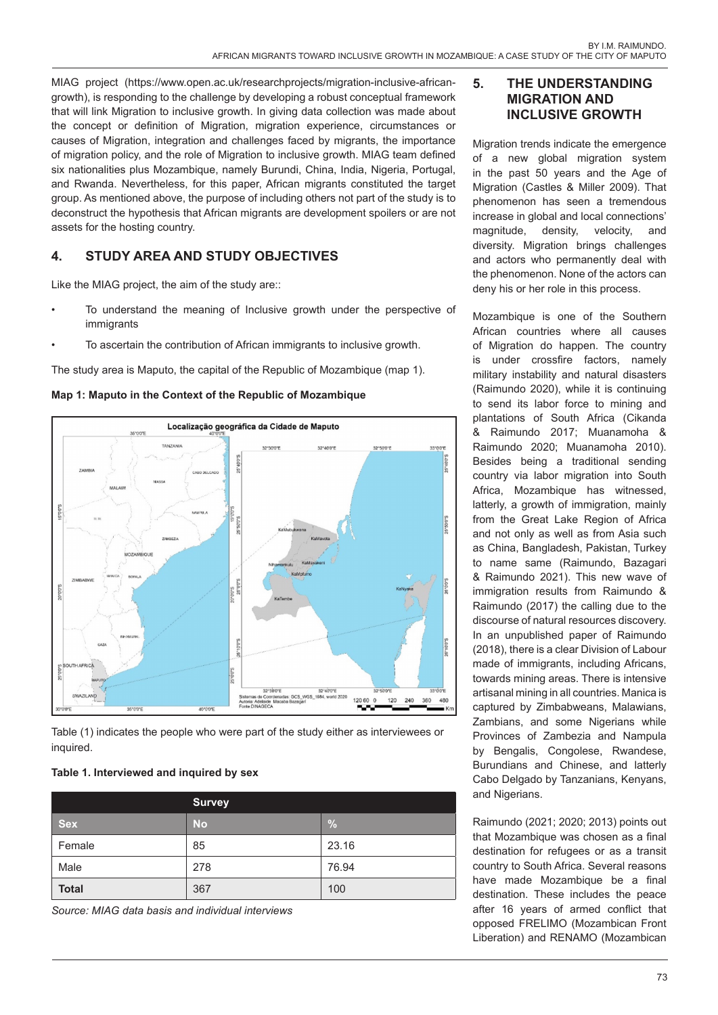MIAG project (https://www.open.ac.uk/researchprojects/migration-inclusive-africangrowth), is responding to the challenge by developing a robust conceptual framework that will link Migration to inclusive growth. In giving data collection was made about the concept or definition of Migration, migration experience, circumstances or causes of Migration, integration and challenges faced by migrants, the importance of migration policy, and the role of Migration to inclusive growth. MIAG team defined six nationalities plus Mozambique, namely Burundi, China, India, Nigeria, Portugal, and Rwanda. Nevertheless, for this paper, African migrants constituted the target group. As mentioned above, the purpose of including others not part of the study is to deconstruct the hypothesis that African migrants are development spoilers or are not assets for the hosting country.

# **4. STUDY AREA AND STUDY OBJECTIVES**

Like the MIAG project, the aim of the study are::

- To understand the meaning of Inclusive growth under the perspective of immigrants
- To ascertain the contribution of African immigrants to inclusive growth.

The study area is Maputo, the capital of the Republic of Mozambique (map 1).





Table (1) indicates the people who were part of the study either as interviewees or inquired.

#### **Table 1. Interviewed and inquired by sex**

|              | <b>Survey</b> |               |
|--------------|---------------|---------------|
| <b>Sex</b>   | <b>No</b>     | $\frac{0}{0}$ |
| Female       | 85            | 23.16         |
| Male         | 278           | 76.94         |
| <b>Total</b> | 367           | 100           |

*Source: MIAG data basis and individual interviews* 

#### **5. THE UNDERSTANDING MIGRATION AND INCLUSIVE GROWTH**

Migration trends indicate the emergence of a new global migration system in the past 50 years and the Age of Migration (Castles & Miller 2009). That phenomenon has seen a tremendous increase in global and local connections' magnitude, density, velocity, and diversity. Migration brings challenges and actors who permanently deal with the phenomenon. None of the actors can deny his or her role in this process.

Mozambique is one of the Southern African countries where all causes of Migration do happen. The country is under crossfire factors, namely military instability and natural disasters (Raimundo 2020), while it is continuing to send its labor force to mining and plantations of South Africa (Cikanda & Raimundo 2017; Muanamoha & Raimundo 2020; Muanamoha 2010). Besides being a traditional sending country via labor migration into South Africa, Mozambique has witnessed, latterly, a growth of immigration, mainly from the Great Lake Region of Africa and not only as well as from Asia such as China, Bangladesh, Pakistan, Turkey to name same (Raimundo, Bazagari & Raimundo 2021). This new wave of immigration results from Raimundo & Raimundo (2017) the calling due to the discourse of natural resources discovery. In an unpublished paper of Raimundo (2018), there is a clear Division of Labour made of immigrants, including Africans, towards mining areas. There is intensive artisanal mining in all countries. Manica is captured by Zimbabweans, Malawians, Zambians, and some Nigerians while Provinces of Zambezia and Nampula by Bengalis, Congolese, Rwandese, Burundians and Chinese, and latterly Cabo Delgado by Tanzanians, Kenyans, and Nigerians.

Raimundo (2021; 2020; 2013) points out that Mozambique was chosen as a final destination for refugees or as a transit country to South Africa. Several reasons have made Mozambique be a final destination. These includes the peace after 16 years of armed conflict that opposed FRELIMO (Mozambican Front Liberation) and RENAMO (Mozambican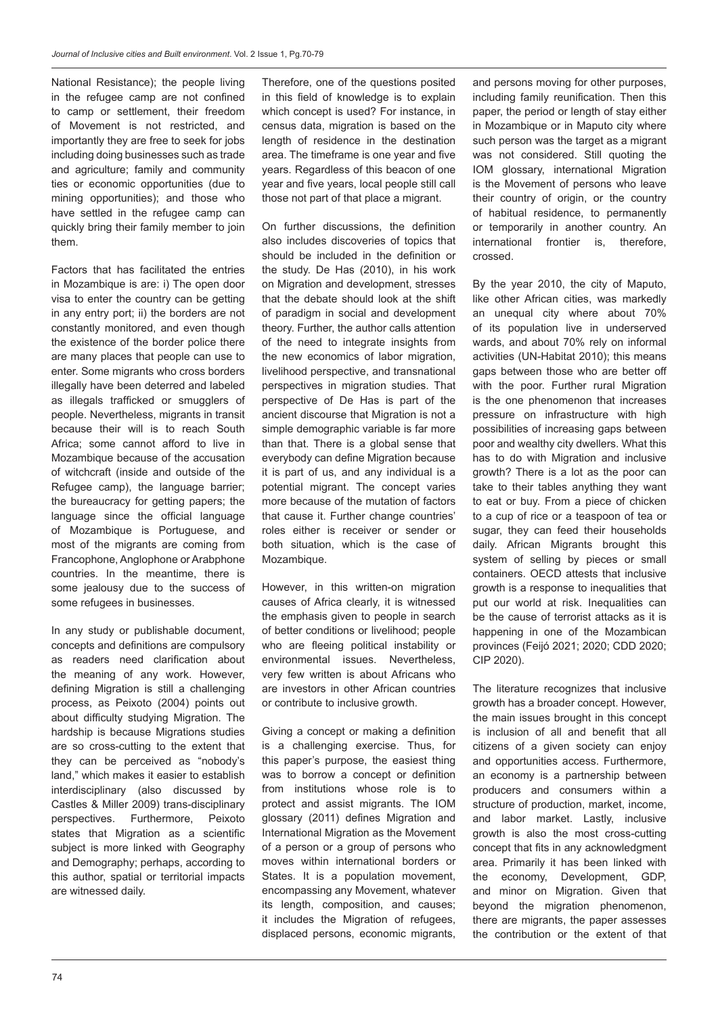National Resistance); the people living in the refugee camp are not confined to camp or settlement, their freedom of Movement is not restricted, and importantly they are free to seek for jobs including doing businesses such as trade and agriculture; family and community ties or economic opportunities (due to mining opportunities); and those who have settled in the refugee camp can quickly bring their family member to join them.

Factors that has facilitated the entries in Mozambique is are: i) The open door visa to enter the country can be getting in any entry port; ii) the borders are not constantly monitored, and even though the existence of the border police there are many places that people can use to enter. Some migrants who cross borders illegally have been deterred and labeled as illegals trafficked or smugglers of people. Nevertheless, migrants in transit because their will is to reach South Africa; some cannot afford to live in Mozambique because of the accusation of witchcraft (inside and outside of the Refugee camp), the language barrier; the bureaucracy for getting papers; the language since the official language of Mozambique is Portuguese, and most of the migrants are coming from Francophone, Anglophone or Arabphone countries. In the meantime, there is some jealousy due to the success of some refugees in businesses.

In any study or publishable document, concepts and definitions are compulsory as readers need clarification about the meaning of any work. However, defining Migration is still a challenging process, as Peixoto (2004) points out about difficulty studying Migration. The hardship is because Migrations studies are so cross-cutting to the extent that they can be perceived as "nobody's land," which makes it easier to establish interdisciplinary (also discussed by Castles & Miller 2009) trans-disciplinary perspectives. Furthermore, Peixoto states that Migration as a scientific subject is more linked with Geography and Demography; perhaps, according to this author, spatial or territorial impacts are witnessed daily.

Therefore, one of the questions posited in this field of knowledge is to explain which concept is used? For instance, in census data, migration is based on the length of residence in the destination area. The timeframe is one year and five years. Regardless of this beacon of one year and five years, local people still call those not part of that place a migrant.

On further discussions, the definition also includes discoveries of topics that should be included in the definition or the study. De Has (2010), in his work on Migration and development, stresses that the debate should look at the shift of paradigm in social and development theory. Further, the author calls attention of the need to integrate insights from the new economics of labor migration, livelihood perspective, and transnational perspectives in migration studies. That perspective of De Has is part of the ancient discourse that Migration is not a simple demographic variable is far more than that. There is a global sense that everybody can define Migration because it is part of us, and any individual is a potential migrant. The concept varies more because of the mutation of factors that cause it. Further change countries' roles either is receiver or sender or both situation, which is the case of Mozambique.

However, in this written-on migration causes of Africa clearly, it is witnessed the emphasis given to people in search of better conditions or livelihood; people who are fleeing political instability or environmental issues. Nevertheless, very few written is about Africans who are investors in other African countries or contribute to inclusive growth.

Giving a concept or making a definition is a challenging exercise. Thus, for this paper's purpose, the easiest thing was to borrow a concept or definition from institutions whose role is to protect and assist migrants. The IOM glossary (2011) defines Migration and International Migration as the Movement of a person or a group of persons who moves within international borders or States. It is a population movement, encompassing any Movement, whatever its length, composition, and causes; it includes the Migration of refugees, displaced persons, economic migrants, and persons moving for other purposes, including family reunification. Then this paper, the period or length of stay either in Mozambique or in Maputo city where such person was the target as a migrant was not considered. Still quoting the IOM glossary, international Migration is the Movement of persons who leave their country of origin, or the country of habitual residence, to permanently or temporarily in another country. An international frontier is, therefore, crossed.

By the year 2010, the city of Maputo, like other African cities, was markedly an unequal city where about 70% of its population live in underserved wards, and about 70% rely on informal activities (UN-Habitat 2010); this means gaps between those who are better off with the poor. Further rural Migration is the one phenomenon that increases pressure on infrastructure with high possibilities of increasing gaps between poor and wealthy city dwellers. What this has to do with Migration and inclusive growth? There is a lot as the poor can take to their tables anything they want to eat or buy. From a piece of chicken to a cup of rice or a teaspoon of tea or sugar, they can feed their households daily. African Migrants brought this system of selling by pieces or small containers. OECD attests that inclusive growth is a response to inequalities that put our world at risk. Inequalities can be the cause of terrorist attacks as it is happening in one of the Mozambican provinces (Feijó 2021; 2020; CDD 2020; CIP 2020).

The literature recognizes that inclusive growth has a broader concept. However, the main issues brought in this concept is inclusion of all and benefit that all citizens of a given society can enjoy and opportunities access. Furthermore, an economy is a partnership between producers and consumers within a structure of production, market, income, and labor market. Lastly, inclusive growth is also the most cross-cutting concept that fits in any acknowledgment area. Primarily it has been linked with the economy, Development, GDP, and minor on Migration. Given that beyond the migration phenomenon, there are migrants, the paper assesses the contribution or the extent of that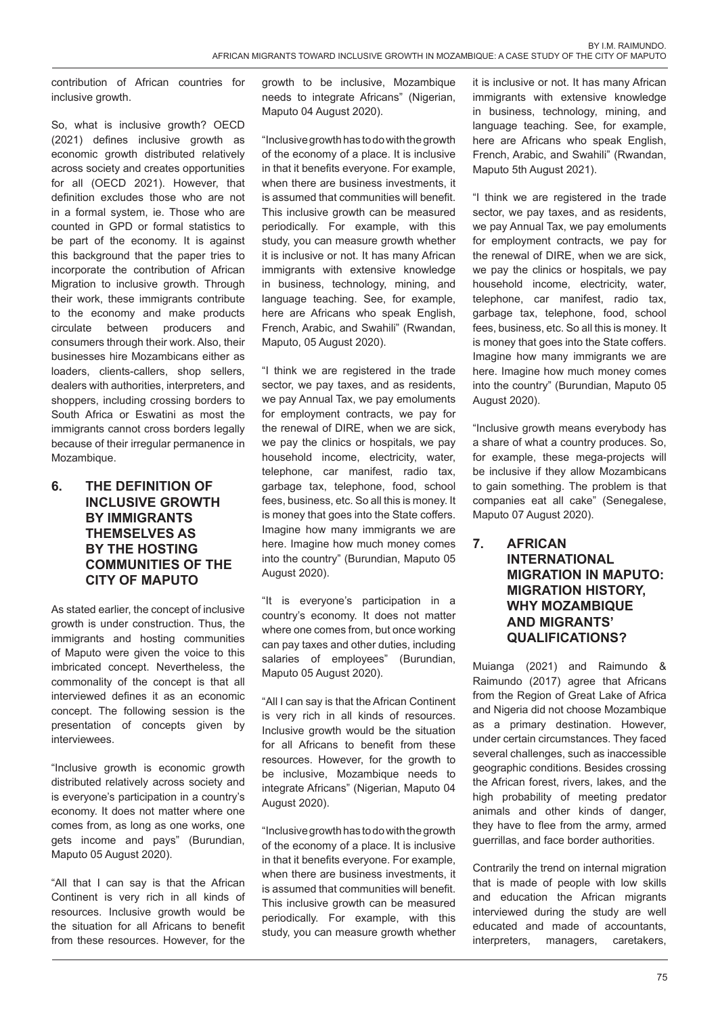contribution of African countries for inclusive growth.

So, what is inclusive growth? OECD (2021) defines inclusive growth as economic growth distributed relatively across society and creates opportunities for all (OECD 2021). However, that definition excludes those who are not in a formal system, ie. Those who are counted in GPD or formal statistics to be part of the economy. It is against this background that the paper tries to incorporate the contribution of African Migration to inclusive growth. Through their work, these immigrants contribute to the economy and make products circulate between producers and consumers through their work. Also, their businesses hire Mozambicans either as loaders, clients-callers, shop sellers, dealers with authorities, interpreters, and shoppers, including crossing borders to South Africa or Eswatini as most the immigrants cannot cross borders legally because of their irregular permanence in Mozambique.

### **6. THE DEFINITION OF INCLUSIVE GROWTH BY IMMIGRANTS THEMSELVES AS BY THE HOSTING COMMUNITIES OF THE CITY OF MAPUTO**

As stated earlier, the concept of inclusive growth is under construction. Thus, the immigrants and hosting communities of Maputo were given the voice to this imbricated concept. Nevertheless, the commonality of the concept is that all interviewed defines it as an economic concept. The following session is the presentation of concepts given by interviewees.

"Inclusive growth is economic growth distributed relatively across society and is everyone's participation in a country's economy. It does not matter where one comes from, as long as one works, one gets income and pays" (Burundian, Maputo 05 August 2020).

"All that I can say is that the African Continent is very rich in all kinds of resources. Inclusive growth would be the situation for all Africans to benefit from these resources. However, for the growth to be inclusive, Mozambique needs to integrate Africans" (Nigerian, Maputo 04 August 2020).

"Inclusive growth has to do with the growth of the economy of a place. It is inclusive in that it benefits everyone. For example, when there are business investments, it is assumed that communities will benefit. This inclusive growth can be measured periodically. For example, with this study, you can measure growth whether it is inclusive or not. It has many African immigrants with extensive knowledge in business, technology, mining, and language teaching. See, for example, here are Africans who speak English, French, Arabic, and Swahili" (Rwandan, Maputo, 05 August 2020).

"I think we are registered in the trade sector, we pay taxes, and as residents, we pay Annual Tax, we pay emoluments for employment contracts, we pay for the renewal of DIRE, when we are sick, we pay the clinics or hospitals, we pay household income, electricity, water, telephone, car manifest, radio tax, garbage tax, telephone, food, school fees, business, etc. So all this is money. It is money that goes into the State coffers. Imagine how many immigrants we are here. Imagine how much money comes into the country" (Burundian, Maputo 05 August 2020).

"It is everyone's participation in a country's economy. It does not matter where one comes from, but once working can pay taxes and other duties, including salaries of employees" (Burundian, Maputo 05 August 2020).

"All I can say is that the African Continent is very rich in all kinds of resources. Inclusive growth would be the situation for all Africans to benefit from these resources. However, for the growth to be inclusive, Mozambique needs to integrate Africans" (Nigerian, Maputo 04 August 2020).

"Inclusive growth has to do with the growth of the economy of a place. It is inclusive in that it benefits everyone. For example, when there are business investments, it is assumed that communities will benefit. This inclusive growth can be measured periodically. For example, with this study, you can measure growth whether

it is inclusive or not. It has many African immigrants with extensive knowledge in business, technology, mining, and language teaching. See, for example, here are Africans who speak English, French, Arabic, and Swahili" (Rwandan, Maputo 5th August 2021).

"I think we are registered in the trade sector, we pay taxes, and as residents, we pay Annual Tax, we pay emoluments for employment contracts, we pay for the renewal of DIRE, when we are sick, we pay the clinics or hospitals, we pay household income, electricity, water, telephone, car manifest, radio tax, garbage tax, telephone, food, school fees, business, etc. So all this is money. It is money that goes into the State coffers. Imagine how many immigrants we are here. Imagine how much money comes into the country" (Burundian, Maputo 05 August 2020).

"Inclusive growth means everybody has a share of what a country produces. So, for example, these mega-projects will be inclusive if they allow Mozambicans to gain something. The problem is that companies eat all cake" (Senegalese, Maputo 07 August 2020).

### **7. AFRICAN INTERNATIONAL MIGRATION IN MAPUTO: MIGRATION HISTORY, WHY MOZAMBIQUE AND MIGRANTS' QUALIFICATIONS?**

Muianga (2021) and Raimundo & Raimundo (2017) agree that Africans from the Region of Great Lake of Africa and Nigeria did not choose Mozambique as a primary destination. However, under certain circumstances. They faced several challenges, such as inaccessible geographic conditions. Besides crossing the African forest, rivers, lakes, and the high probability of meeting predator animals and other kinds of danger, they have to flee from the army, armed guerrillas, and face border authorities.

Contrarily the trend on internal migration that is made of people with low skills and education the African migrants interviewed during the study are well educated and made of accountants, interpreters, managers, caretakers,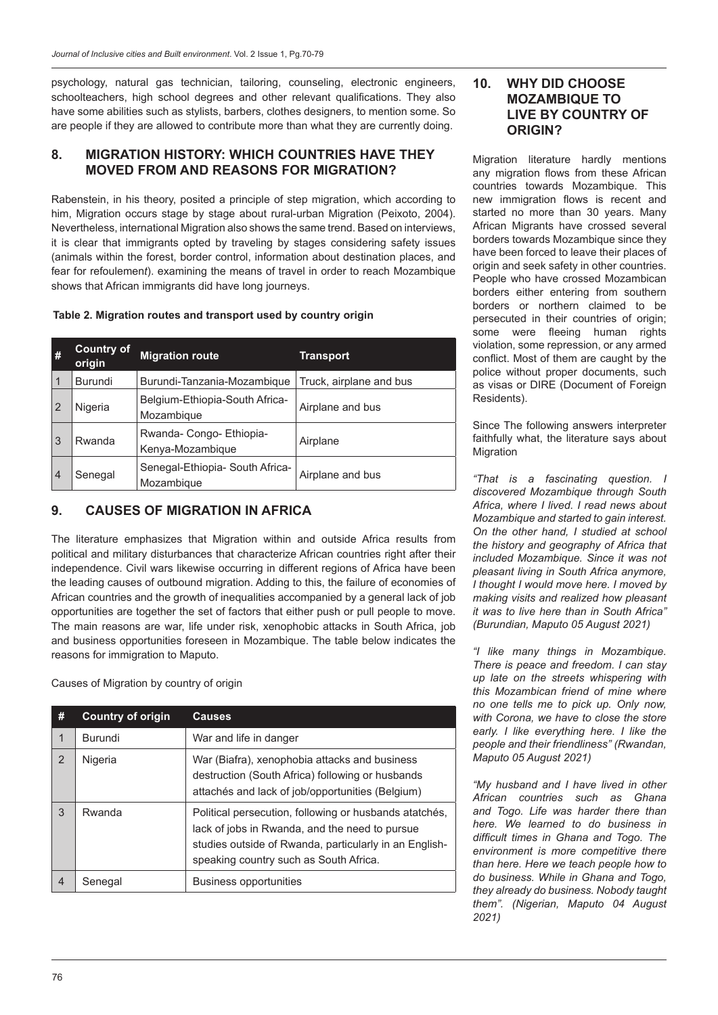psychology, natural gas technician, tailoring, counseling, electronic engineers, schoolteachers, high school degrees and other relevant qualifications. They also have some abilities such as stylists, barbers, clothes designers, to mention some. So are people if they are allowed to contribute more than what they are currently doing.

#### **8. MIGRATION HISTORY: WHICH COUNTRIES HAVE THEY MOVED FROM AND REASONS FOR MIGRATION?**

Rabenstein, in his theory, posited a principle of step migration, which according to him, Migration occurs stage by stage about rural-urban Migration (Peixoto, 2004). Nevertheless, international Migration also shows the same trend. Based on interviews, it is clear that immigrants opted by traveling by stages considering safety issues (animals within the forest, border control, information about destination places, and fear for refoulemen*t*). examining the means of travel in order to reach Mozambique shows that African immigrants did have long journeys.

**Table 2. Migration routes and transport used by country origin**

| #              | <b>Country of</b><br>origin | <b>Migration route</b>                        | Transport               |
|----------------|-----------------------------|-----------------------------------------------|-------------------------|
| 1              | <b>Burundi</b>              | Burundi-Tanzania-Mozambique                   | Truck, airplane and bus |
| 2              | Nigeria                     | Belgium-Ethiopia-South Africa-<br>Mozambique  | Airplane and bus        |
| 3              | Rwanda                      | Rwanda-Congo-Ethiopia-<br>Kenya-Mozambique    | Airplane                |
| $\overline{4}$ | Senegal                     | Senegal-Ethiopia- South Africa-<br>Mozambique | Airplane and bus        |

### **9. CAUSES OF MIGRATION IN AFRICA**

The literature emphasizes that Migration within and outside Africa results from political and military disturbances that characterize African countries right after their independence. Civil wars likewise occurring in different regions of Africa have been the leading causes of outbound migration. Adding to this, the failure of economies of African countries and the growth of inequalities accompanied by a general lack of job opportunities are together the set of factors that either push or pull people to move. The main reasons are war, life under risk, xenophobic attacks in South Africa, job and business opportunities foreseen in Mozambique. The table below indicates the reasons for immigration to Maputo.

Causes of Migration by country of origin

| #              | <b>Country of origin</b> | <b>Causes</b>                                                                                                                                                                                                |  |
|----------------|--------------------------|--------------------------------------------------------------------------------------------------------------------------------------------------------------------------------------------------------------|--|
|                | Burundi                  | War and life in danger                                                                                                                                                                                       |  |
| $\overline{2}$ | Nigeria                  | War (Biafra), xenophobia attacks and business<br>destruction (South Africa) following or husbands<br>attachés and lack of job/opportunities (Belgium)                                                        |  |
| 3              | Rwanda                   | Political persecution, following or husbands atatchés,<br>lack of jobs in Rwanda, and the need to pursue<br>studies outside of Rwanda, particularly in an English-<br>speaking country such as South Africa. |  |
| $\overline{4}$ | Senegal                  | Business opportunities                                                                                                                                                                                       |  |

### **10. WHY DID CHOOSE MOZAMBIQUE TO LIVE BY COUNTRY OF ORIGIN?**

Migration literature hardly mentions any migration flows from these African countries towards Mozambique. This new immigration flows is recent and started no more than 30 years. Many African Migrants have crossed several borders towards Mozambique since they have been forced to leave their places of origin and seek safety in other countries. People who have crossed Mozambican borders either entering from southern borders or northern claimed to be persecuted in their countries of origin; some were fleeing human rights violation, some repression, or any armed conflict. Most of them are caught by the police without proper documents, such as visas or DIRE (Document of Foreign Residents).

Since The following answers interpreter faithfully what, the literature says about Migration

*"That is a fascinating question. I discovered Mozambique through South Africa, where I lived. I read news about Mozambique and started to gain interest. On the other hand, I studied at school the history and geography of Africa that included Mozambique. Since it was not pleasant living in South Africa anymore, I thought I would move here. I moved by making visits and realized how pleasant it was to live here than in South Africa" (Burundian, Maputo 05 August 2021)*

*"I like many things in Mozambique. There is peace and freedom. I can stay up late on the streets whispering with this Mozambican friend of mine where no one tells me to pick up. Only now, with Corona, we have to close the store early. I like everything here. I like the people and their friendliness" (Rwandan, Maputo 05 August 2021)*

*"My husband and I have lived in other African countries such as Ghana and Togo. Life was harder there than here. We learned to do business in difficult times in Ghana and Togo. The environment is more competitive there than here. Here we teach people how to do business. While in Ghana and Togo, they already do business. Nobody taught them". (Nigerian, Maputo 04 August 2021)*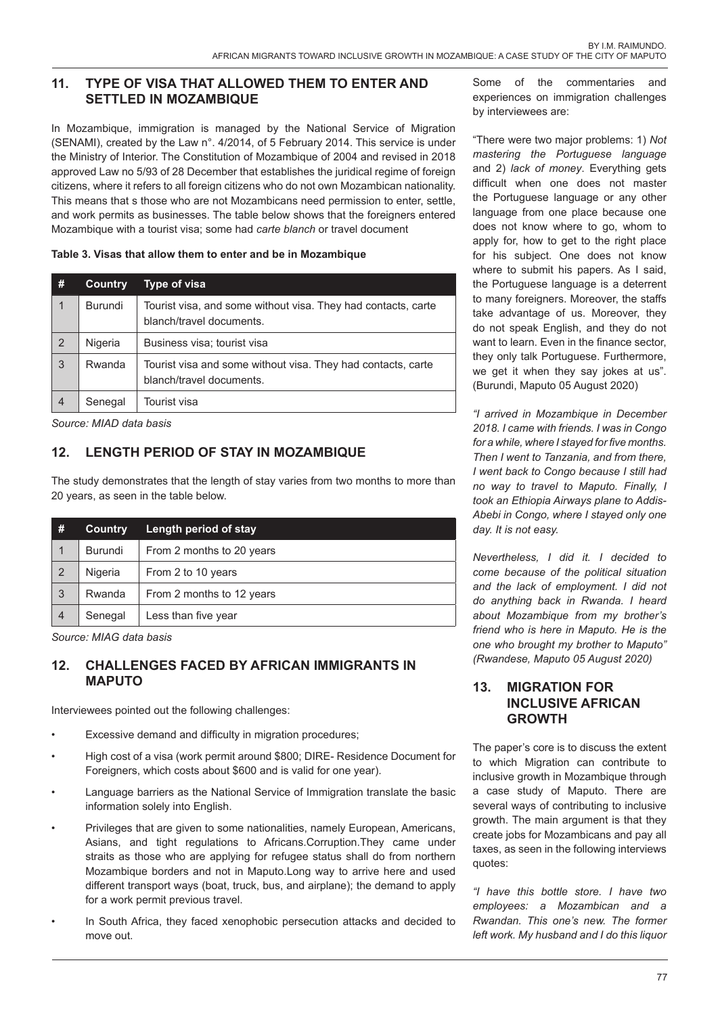## **11. TYPE OF VISA THAT ALLOWED THEM TO ENTER AND SETTLED IN MOZAMBIQUE**

In Mozambique, immigration is managed by the National Service of Migration (SENAMI), created by the Law n°. 4/2014, of 5 February 2014. This service is under the Ministry of Interior. The Constitution of Mozambique of 2004 and revised in 2018 approved Law no 5/93 of 28 December that establishes the juridical regime of foreign citizens, where it refers to all foreign citizens who do not own Mozambican nationality. This means that s those who are not Mozambicans need permission to enter, settle, and work permits as businesses. The table below shows that the foreigners entered Mozambique with a tourist visa; some had *carte blanch* or travel document

#### **Table 3. Visas that allow them to enter and be in Mozambique**

| #              | <b>Country</b> | Type of visa                                                                              |
|----------------|----------------|-------------------------------------------------------------------------------------------|
|                | <b>Burundi</b> | Tourist visa, and some without visa. They had contacts, carte<br>blanch/travel documents. |
| 2              | Nigeria        | Business visa; tourist visa                                                               |
| 3              | Rwanda         | Tourist visa and some without visa. They had contacts, carte<br>blanch/travel documents.  |
| $\overline{4}$ | Senegal        | Tourist visa                                                                              |

*Source: MIAD data basis*

## **12. LENGTH PERIOD OF STAY IN MOZAMBIQUE**

The study demonstrates that the length of stay varies from two months to more than 20 years, as seen in the table below.

| #              | <b>Country</b> | Length period of stay     |
|----------------|----------------|---------------------------|
|                | <b>Burundi</b> | From 2 months to 20 years |
| $\overline{2}$ | Nigeria        | From 2 to 10 years        |
| 3              | Rwanda         | From 2 months to 12 years |
|                | Senegal        | Less than five year       |

*Source: MIAG data basis* 

## **12. CHALLENGES FACED BY AFRICAN IMMIGRANTS IN MAPUTO**

Interviewees pointed out the following challenges:

- Excessive demand and difficulty in migration procedures:
- High cost of a visa (work permit around \$800; DIRE- Residence Document for Foreigners, which costs about \$600 and is valid for one year).
- Language barriers as the National Service of Immigration translate the basic information solely into English.
- Privileges that are given to some nationalities, namely European, Americans, Asians, and tight regulations to Africans.Corruption.They came under straits as those who are applying for refugee status shall do from northern Mozambique borders and not in Maputo.Long way to arrive here and used different transport ways (boat, truck, bus, and airplane); the demand to apply for a work permit previous travel.
- In South Africa, they faced xenophobic persecution attacks and decided to move out.

Some of the commentaries and experiences on immigration challenges by interviewees are:

"There were two major problems: 1) *Not mastering the Portuguese language* and 2) *lack of money*. Everything gets difficult when one does not master the Portuguese language or any other language from one place because one does not know where to go, whom to apply for, how to get to the right place for his subject. One does not know where to submit his papers. As I said, the Portuguese language is a deterrent to many foreigners. Moreover, the staffs take advantage of us. Moreover, they do not speak English, and they do not want to learn. Even in the finance sector, they only talk Portuguese. Furthermore, we get it when they say jokes at us". (Burundi, Maputo 05 August 2020)

*"I arrived in Mozambique in December 2018. I came with friends. I was in Congo for a while, where I stayed for five months. Then I went to Tanzania, and from there, I went back to Congo because I still had no way to travel to Maputo. Finally, I took an Ethiopia Airways plane to Addis-Abebi in Congo, where I stayed only one day. It is not easy.*

*Nevertheless, I did it. I decided to come because of the political situation and the lack of employment. I did not do anything back in Rwanda. I heard about Mozambique from my brother's friend who is here in Maputo. He is the one who brought my brother to Maputo" (Rwandese, Maputo 05 August 2020)* 

#### **13. MIGRATION FOR INCLUSIVE AFRICAN GROWTH**

The paper's core is to discuss the extent to which Migration can contribute to inclusive growth in Mozambique through a case study of Maputo. There are several ways of contributing to inclusive growth. The main argument is that they create jobs for Mozambicans and pay all taxes, as seen in the following interviews quotes:

*"I have this bottle store. I have two employees: a Mozambican and a Rwandan. This one's new. The former left work. My husband and I do this liquor*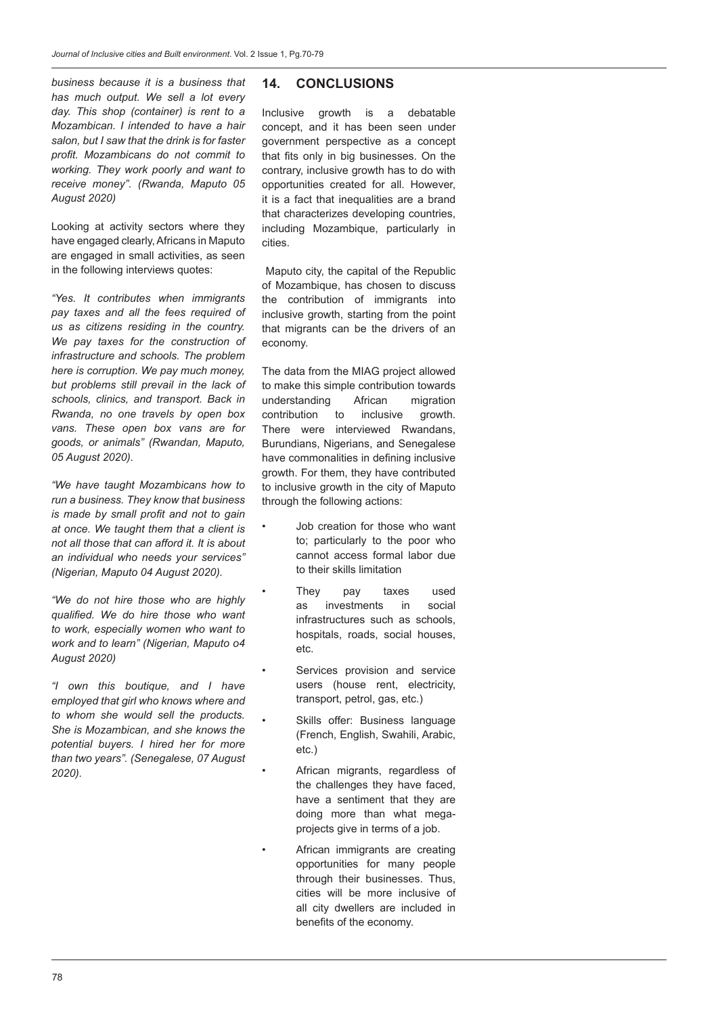*business because it is a business that has much output. We sell a lot every day. This shop (container) is rent to a Mozambican. I intended to have a hair salon, but I saw that the drink is for faster profit. Mozambicans do not commit to working. They work poorly and want to receive money". (Rwanda, Maputo 05 August 2020)* 

Looking at activity sectors where they have engaged clearly, Africans in Maputo are engaged in small activities, as seen in the following interviews quotes:

*"Yes. It contributes when immigrants pay taxes and all the fees required of us as citizens residing in the country. We pay taxes for the construction of infrastructure and schools. The problem here is corruption. We pay much money, but problems still prevail in the lack of schools, clinics, and transport. Back in Rwanda, no one travels by open box vans. These open box vans are for goods, or animals" (Rwandan, Maputo, 05 August 2020).*

*"We have taught Mozambicans how to run a business. They know that business is made by small profit and not to gain at once. We taught them that a client is not all those that can afford it. It is about an individual who needs your services" (Nigerian, Maputo 04 August 2020).*

*"We do not hire those who are highly qualified. We do hire those who want to work, especially women who want to work and to learn" (Nigerian, Maputo o4 August 2020)*

*"I own this boutique, and I have employed that girl who knows where and to whom she would sell the products. She is Mozambican, and she knows the potential buyers. I hired her for more than two years". (Senegalese, 07 August 2020).*

#### **14. CONCLUSIONS**

Inclusive growth is a debatable concept, and it has been seen under government perspective as a concept that fits only in big businesses. On the contrary, inclusive growth has to do with opportunities created for all. However, it is a fact that inequalities are a brand that characterizes developing countries, including Mozambique, particularly in cities.

 Maputo city, the capital of the Republic of Mozambique, has chosen to discuss the contribution of immigrants into inclusive growth, starting from the point that migrants can be the drivers of an economy.

The data from the MIAG project allowed to make this simple contribution towards understanding African migration<br>contribution to inclusive growth. contribution to inclusive growth. There were interviewed Rwandans, Burundians, Nigerians, and Senegalese have commonalities in defining inclusive growth. For them, they have contributed to inclusive growth in the city of Maputo through the following actions:

- Job creation for those who want to; particularly to the poor who cannot access formal labor due to their skills limitation
- They pay taxes used as investments in social infrastructures such as schools, hospitals, roads, social houses, etc.
- Services provision and service users (house rent, electricity, transport, petrol, gas, etc.)
- Skills offer: Business language (French, English, Swahili, Arabic, etc.)
- African migrants, regardless of the challenges they have faced, have a sentiment that they are doing more than what megaprojects give in terms of a job.
- African immigrants are creating opportunities for many people through their businesses. Thus, cities will be more inclusive of all city dwellers are included in benefits of the economy.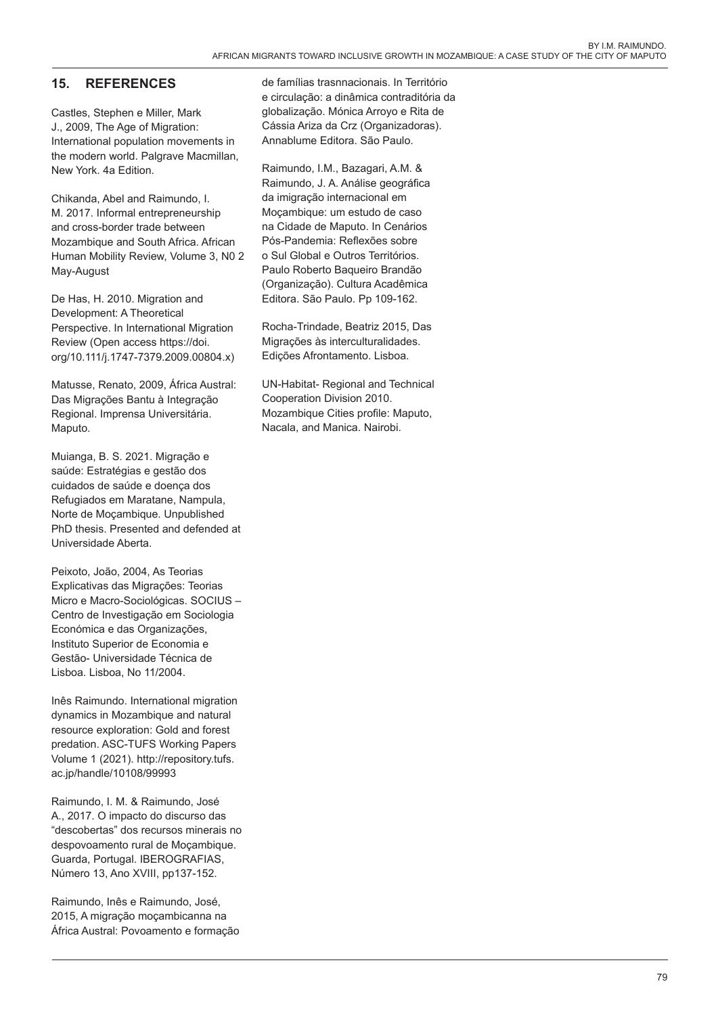## **15. REFERENCES**

Castles, Stephen e Miller, Mark J., 2009, The Age of Migration: International population movements in the modern world. Palgrave Macmillan, New York. 4a Edition.

Chikanda, Abel and Raimundo, I. M. 2017. Informal entrepreneurship and cross-border trade between Mozambique and South Africa. African Human Mobility Review, Volume 3, N0 2 May-August

De Has, H. 2010. Migration and Development: A Theoretical Perspective. In International Migration Review (Open access https://doi. org/10.111/j.1747-7379.2009.00804.x)

Matusse, Renato, 2009, África Austral: Das Migrações Bantu à Integração Regional. Imprensa Universitária. Maputo.

Muianga, B. S. 2021. Migração e saúde: Estratégias e gestão dos cuidados de saúde e doença dos Refugiados em Maratane, Nampula, Norte de Moçambique. Unpublished PhD thesis. Presented and defended at Universidade Aberta.

Peixoto, João, 2004, As Teorias Explicativas das Migrações: Teorias Micro e Macro-Sociológicas. SOCIUS – Centro de Investigação em Sociologia Económica e das Organizações, Instituto Superior de Economia e Gestão- Universidade Técnica de Lisboa. Lisboa, No 11/2004.

Inês Raimundo. International migration dynamics in Mozambique and natural resource exploration: Gold and forest predation. ASC-TUFS Working Papers Volume 1 (2021). http://repository.tufs. ac.jp/handle/10108/99993

Raimundo, I. M. & Raimundo, José A., 2017. O impacto do discurso das "descobertas" dos recursos minerais no despovoamento rural de Moçambique. Guarda, Portugal. IBEROGRAFIAS, Número 13, Ano XVIII, pp137-152.

Raimundo, Inês e Raimundo, José, 2015, A migração moçambicanna na África Austral: Povoamento e formação de famílias trasnnacionais. In Território e circulação: a dinâmica contraditória da globalização. Mónica Arroyo e Rita de Cássia Ariza da Crz (Organizadoras). Annablume Editora. São Paulo.

Raimundo, I.M., Bazagari, A.M. & Raimundo, J. A. Análise geográfica da imigração internacional em Moçambique: um estudo de caso na Cidade de Maputo. In Cenários Pós-Pandemia: Reflexões sobre o Sul Global e Outros Territórios. Paulo Roberto Baqueiro Brandão (Organização). Cultura Acadêmica Editora. São Paulo. Pp 109-162.

Rocha-Trindade, Beatriz 2015, Das Migrações às interculturalidades. Edições Afrontamento. Lisboa.

UN-Habitat- Regional and Technical Cooperation Division 2010. Mozambique Cities profile: Maputo, Nacala, and Manica. Nairobi.